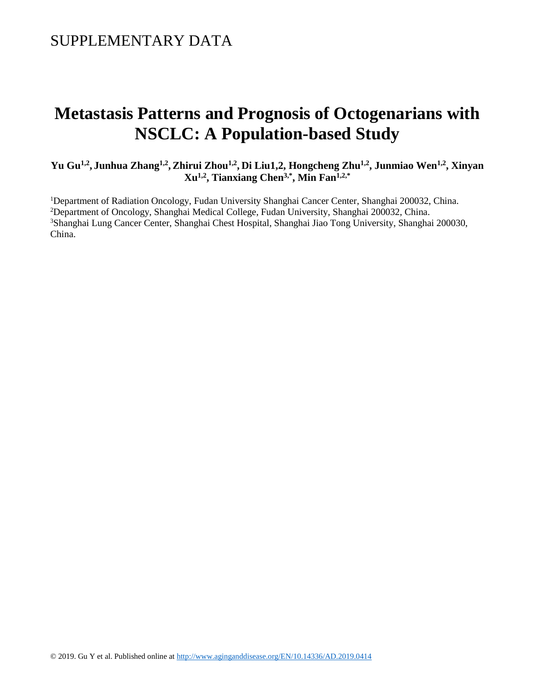### SUPPLEMENTARY DATA

# **Metastasis Patterns and [Prognosis of Octogenarians with](https://www-ncbi-nlm-nih-gov.elibrary.einstein.yu.edu/pubmed/29255373)  [NSCLC:](https://www-ncbi-nlm-nih-gov.elibrary.einstein.yu.edu/pubmed/29255373) A Population-based Study**

**Yu Gu1,2 , Junhua Zhang1,2 , Zhirui Zhou1,2 , Di Liu1,2, Hongcheng Zhu1,2, Junmiao Wen1,2, Xinyan Xu1,2, Tianxiang Chen3,\* , Min Fan1,2,\***

<sup>1</sup>Department of Radiation Oncology, Fudan University Shanghai Cancer Center, Shanghai 200032, China. <sup>2</sup>Department of Oncology, Shanghai Medical College, Fudan University, Shanghai 200032, China. <sup>3</sup>Shanghai Lung Cancer Center, Shanghai Chest Hospital, Shanghai Jiao Tong University, Shanghai 200030, China.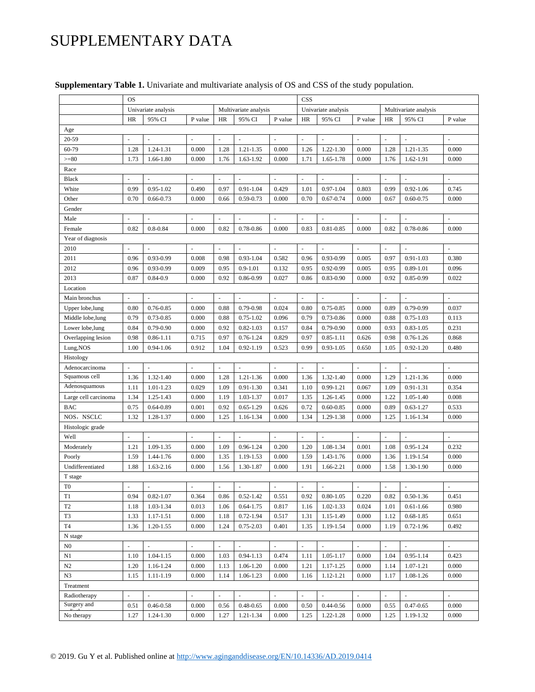## SUPPLEMENTARY DATA

|                      | <b>OS</b>                |                          |                          |                          |                          |         | CSS                 |                          |         |                          |                          |                          |
|----------------------|--------------------------|--------------------------|--------------------------|--------------------------|--------------------------|---------|---------------------|--------------------------|---------|--------------------------|--------------------------|--------------------------|
|                      | Univariate analysis      |                          |                          | Multivariate analysis    |                          |         | Univariate analysis |                          |         | Multivariate analysis    |                          |                          |
|                      | HR                       | 95% CI                   | P value                  | HR                       | 95% CI                   | P value | HR                  | 95% CI                   | P value | <b>HR</b>                | 95% CI                   | P value                  |
| Age                  |                          |                          |                          |                          |                          |         |                     |                          |         |                          |                          |                          |
| 20-59                |                          | $\overline{\phantom{a}}$ | ÷,                       | ä,                       | $\blacksquare$           | ä,      |                     | $\overline{\phantom{a}}$ | i,      | $\bar{a}$                | $\blacksquare$           |                          |
| 60-79                | 1.28                     | 1.24-1.31                | 0.000                    | 1.28                     | 1.21-1.35                | 0.000   | 1.26                | $1.22 - 1.30$            | 0.000   | 1.28                     | $1.21 - 1.35$            | 0.000                    |
| $>= 80$              | 1.73                     | 1.66-1.80                | 0.000                    | 1.76                     | 1.63-1.92                | 0.000   | 1.71                | 1.65-1.78                | 0.000   | 1.76                     | 1.62-1.91                | 0.000                    |
| Race                 |                          |                          |                          |                          |                          |         |                     |                          |         |                          |                          |                          |
| <b>Black</b>         | $\overline{\phantom{a}}$ | ÷,                       | ä,                       | $\sim$                   | ÷.                       | ÷,      | $\sim$              | ÷.                       | ä,      | $\sim$                   | $\overline{\phantom{a}}$ |                          |
| White                | 0.99                     | $0.95 - 1.02$            | 0.490                    | 0.97                     | 0.91-1.04                | 0.429   | 1.01                | $0.97 - 1.04$            | 0.803   | 0.99                     | $0.92 - 1.06$            | 0.745                    |
| Other                | 0.70                     | $0.66 - 0.73$            | 0.000                    | 0.66                     | $0.59 - 0.73$            | 0.000   | 0.70                | $0.67 - 0.74$            | 0.000   | 0.67                     | $0.60 - 0.75$            | 0.000                    |
| Gender               |                          |                          |                          |                          |                          |         |                     |                          |         |                          |                          |                          |
| Male                 | ÷,                       | L.                       | ÷,                       | ÷,                       | ÷,                       | ÷,      | ÷.                  | $\overline{\phantom{a}}$ | ÷,      | $\bar{a}$                | ä,                       |                          |
| Female               | 0.82                     | $0.8 - 0.84$             | 0.000                    | 0.82                     | 0.78-0.86                | 0.000   | 0.83                | $0.81 - 0.85$            | 0.000   | 0.82                     | 0.78-0.86                | 0.000                    |
| Year of diagnosis    |                          |                          |                          |                          |                          |         |                     |                          |         |                          |                          |                          |
| 2010                 | ÷,                       | $\overline{\phantom{a}}$ | $\overline{\phantom{a}}$ | $\overline{\phantom{a}}$ | $\overline{\phantom{a}}$ | ÷       | ÷,                  | $\overline{\phantom{a}}$ | ä,      | $\overline{\phantom{a}}$ | $\overline{\phantom{a}}$ | $\overline{\phantom{a}}$ |
| 2011                 | 0.96                     | 0.93-0.99                | 0.008                    | 0.98                     | $0.93 - 1.04$            | 0.582   | 0.96                | 0.93-0.99                | 0.005   | 0.97                     | $0.91 - 1.03$            | 0.380                    |
| 2012                 | 0.96                     | 0.93-0.99                | 0.009                    | 0.95                     | $0.9 - 1.01$             | 0.132   | 0.95                | $0.92 - 0.99$            | 0.005   | 0.95                     | $0.89 - 1.01$            | 0.096                    |
| 2013                 | 0.87                     | $0.84 - 0.9$             | 0.000                    | 0.92                     | 0.86-0.99                | 0.027   | 0.86                | $0.83 - 0.90$            | 0.000   | 0.92                     | 0.85-0.99                | 0.022                    |
| Location             |                          |                          |                          |                          |                          |         |                     |                          |         |                          |                          |                          |
| Main bronchus        |                          | $\overline{a}$           |                          | L.                       | L.                       |         |                     | ä,                       | L.      | $\overline{a}$           | $\overline{a}$           |                          |
| Upper lobe, lung     | 0.80                     | 0.76-0.85                | 0.000                    | 0.88                     | $0.79 - 0.98$            | 0.024   | 0.80                | $0.75 - 0.85$            | 0.000   | 0.89                     | 0.79-0.99                | 0.037                    |
| Middle lobe, lung    | 0.79                     | 0.73-0.85                | 0.000                    | 0.88                     | $0.75 - 1.02$            | 0.096   | 0.79                | 0.73-0.86                | 0.000   | 0.88                     | $0.75 - 1.03$            | 0.113                    |
| Lower lobe, lung     | 0.84                     | 0.79-0.90                | 0.000                    | 0.92                     | $0.82 - 1.03$            | 0.157   | 0.84                | $0.79 - 0.90$            | 0.000   | 0.93                     | $0.83 - 1.05$            | 0.231                    |
| Overlapping lesion   | 0.98                     | $0.86 - 1.11$            | 0.715                    | 0.97                     | $0.76 - 1.24$            | 0.829   | 0.97                | $0.85 - 1.11$            | 0.626   | 0.98                     | $0.76 - 1.26$            | 0.868                    |
| Lung, NOS            | 1.00                     | $0.94 - 1.06$            | 0.912                    | 1.04                     | $0.92 - 1.19$            | 0.523   | 0.99                | $0.93 - 1.05$            | 0.650   | 1.05                     | $0.92 - 1.20$            | 0.480                    |
| Histology            |                          |                          |                          |                          |                          |         |                     |                          |         |                          |                          |                          |
| Adenocarcinoma       |                          | L.                       | ÷,                       | L.                       | ÷.                       | ÷,      | ÷.                  | $\sim$                   | L.      | ÷.                       | L.                       |                          |
| Squamous cell        | 1.36                     | 1.32-1.40                | 0.000                    | 1.28                     | 1.21-1.36                | 0.000   | 1.36                | $1.32 - 1.40$            | 0.000   | 1.29                     | 1.21-1.36                | 0.000                    |
| Adenosquamous        | 1.11                     | $1.01 - 1.23$            | 0.029                    | 1.09                     | $0.91 - 1.30$            | 0.341   | 1.10                | 0.99-1.21                | 0.067   | 1.09                     | 0.91-1.31                | 0.354                    |
| Large cell carcinoma | 1.34                     | 1.25-1.43                | 0.000                    | 1.19                     | 1.03-1.37                | 0.017   | 1.35                | 1.26-1.45                | 0.000   | 1.22                     | $1.05 - 1.40$            | 0.008                    |
| <b>BAC</b>           | 0.75                     | $0.64 - 0.89$            | 0.001                    | 0.92                     | $0.65 - 1.29$            | 0.626   | 0.72                | $0.60 - 0.85$            | 0.000   | 0.89                     | $0.63 - 1.27$            | 0.533                    |
| NOS, NSCLC           | 1.32                     | 1.28-1.37                | 0.000                    | 1.25                     | 1.16-1.34                | 0.000   | 1.34                | 1.29-1.38                | 0.000   | 1.25                     | 1.16-1.34                | 0.000                    |
| Histologic grade     |                          |                          |                          |                          |                          |         |                     |                          |         |                          |                          |                          |
| Well                 | ä,                       | ÷,                       | $\overline{\phantom{a}}$ | $\bar{\phantom{a}}$      | ÷,                       | ÷,      | ä,                  | ÷,                       | L.      | ÷,                       | $\bar{\phantom{a}}$      |                          |
| Moderately           | 1.21                     | 1.09-1.35                | 0.000                    | 1.09                     | $0.96 - 1.24$            | 0.200   | 1.20                | 1.08-1.34                | 0.001   | 1.08                     | $0.95 - 1.24$            | 0.232                    |
| Poorly               | 1.59                     | 1.44-1.76                | 0.000                    | 1.35                     | 1.19-1.53                | 0.000   | 1.59                | 1.43-1.76                | 0.000   | 1.36                     | 1.19-1.54                | 0.000                    |
| Undifferentiated     | 1.88                     | 1.63-2.16                | 0.000                    | 1.56                     | 1.30-1.87                | 0.000   | 1.91                | 1.66-2.21                | 0.000   | 1.58                     | 1.30-1.90                | 0.000                    |
| T stage              |                          |                          |                          |                          |                          |         |                     |                          |         |                          |                          |                          |
| T <sub>0</sub>       |                          |                          |                          |                          |                          |         |                     |                          |         |                          |                          |                          |
| T1                   | 0.94                     | $0.82 - 1.07$            | 0.364                    | 0.86                     | $0.52 - 1.42$            | 0.551   | 0.92                | $0.80 - 1.05$            | 0.220   | 0.82                     | $0.50 - 1.36$            | 0.451                    |
| T <sub>2</sub>       | 1.18                     | 1.03-1.34                | 0.013                    | 1.06                     | $0.64 - 1.75$            | 0.817   | 1.16                | $1.02 - 1.33$            | 0.024   | 1.01                     | $0.61 - 1.66$            | 0.980                    |
| T <sub>3</sub>       | 1.33                     | $1.17 - 1.51$            | 0.000                    | 1.18                     | $0.72 - 1.94$            | 0.517   | 1.31                | 1.15-1.49                | 0.000   | 1.12                     | $0.68 - 1.85$            | 0.651                    |
| T <sub>4</sub>       | 1.36                     | $1.20 - 1.55$            | 0.000                    | 1.24                     | $0.75 - 2.03$            | 0.401   | 1.35                | 1.19-1.54                | 0.000   | 1.19                     | $0.72 - 1.96$            | 0.492                    |
| N stage              |                          |                          |                          |                          |                          |         |                     |                          |         |                          |                          |                          |
| N <sub>0</sub>       |                          | ÷,                       |                          | ä,                       | $\bar{z}$                |         |                     | $\overline{\phantom{a}}$ |         | $\bar{a}$                | ä,                       | ÷,                       |
| N1                   | 1.10                     | $1.04 - 1.15$            | 0.000                    | 1.03                     | $0.94 - 1.13$            | 0.474   | 1.11                | $1.05 - 1.17$            | 0.000   | 1.04                     | $0.95 - 1.14$            | 0.423                    |
| N2                   | 1.20                     | 1.16-1.24                | 0.000                    | 1.13                     | 1.06-1.20                | 0.000   | 1.21                | 1.17-1.25                | 0.000   | 1.14                     | 1.07-1.21                | 0.000                    |
| N3                   | 1.15                     | 1.11-1.19                | 0.000                    | 1.14                     | 1.06-1.23                | 0.000   | 1.16                | 1.12-1.21                | 0.000   | 1.17                     | 1.08-1.26                | 0.000                    |
| Treatment            |                          |                          |                          |                          |                          |         |                     |                          |         |                          |                          |                          |
| Radiotherapy         |                          | $\bar{\phantom{a}}$      | $\sim$                   | ÷                        | ä,                       |         |                     | $\bar{\phantom{a}}$      | L.      | $\bar{a}$                | $\sim$                   | ÷,                       |
| Surgery and          | 0.51                     | $0.46 - 0.58$            | 0.000                    | 0.56                     | $0.48 - 0.65$            | 0.000   | 0.50                | $0.44 - 0.56$            | 0.000   | 0.55                     | $0.47 - 0.65$            | 0.000                    |
| No therapy           | 1.27                     | 1.24-1.30                | 0.000                    | 1.27                     | $1.21 - 1.34$            | 0.000   | 1.25                | 1.22-1.28                | 0.000   | 1.25                     | 1.19-1.32                | 0.000                    |

#### **Supplementary Table 1.** Univariate and multivariate analysis of OS and CSS of the study population.